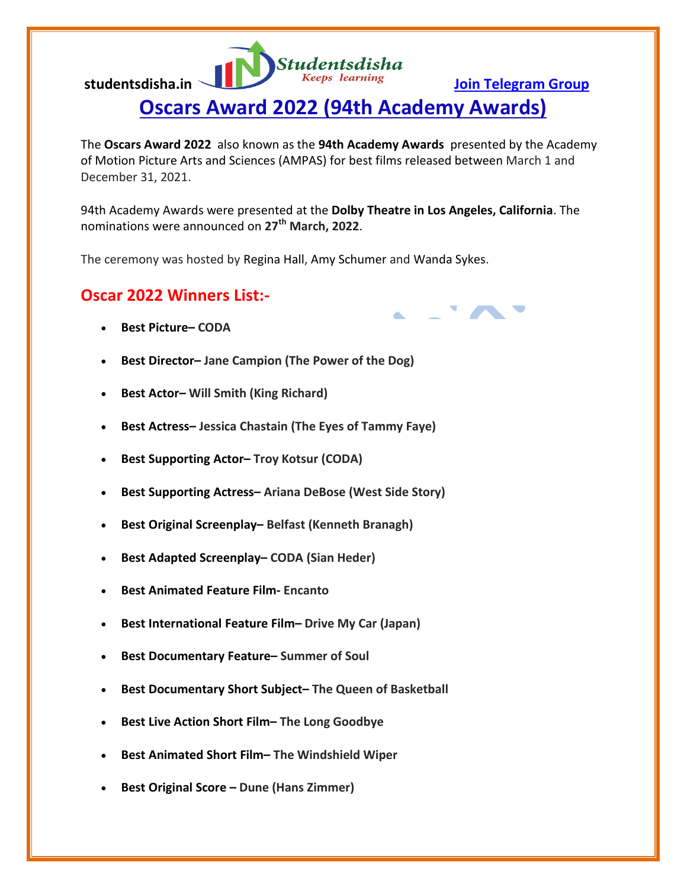**Studentsdisha** studentsdisha.in <u>Join Telegram Group</u>

## **Oscars Award 2022 (94th Academy Awards)**

The **Oscars Award 2022** also known as the **94th Academy Awards** presented by the Academy of Motion Picture Arts and Sciences (AMPAS) for best films released between March 1 and December 31, 2021.

94th Academy Awards were presented at the **Dolby Theatre in Los Angeles, California**. The nominations were announced on **27th March, 2022**.

The ceremony was hosted by Regina Hall, Amy Schumer and Wanda Sykes.

## **Oscar 2022 Winners List:-**

- **Best Picture– CODA**
- **Best Director– Jane Campion (The Power of the Dog)**
- **Best Actor– Will Smith (King Richard)**
- **Best Actress– Jessica Chastain (The Eyes of Tammy Faye)**
- **Best Supporting Actor– Troy Kotsur (CODA)**
- **Best Supporting Actress– Ariana DeBose (West Side Story)**
- **Best Original Screenplay– Belfast (Kenneth Branagh)**
- **Best Adapted Screenplay– CODA (Sian Heder)**
- **Best Animated Feature Film- Encanto**
- **Best International Feature Film– Drive My Car (Japan)**
- **Best Documentary Feature– Summer of Soul**
- **Best Documentary Short Subject– The Queen of Basketball**
- **Best Live Action Short Film– The Long Goodbye**
- **Best Animated Short Film– The Windshield Wiper**
- **Best Original Score – Dune (Hans Zimmer)**